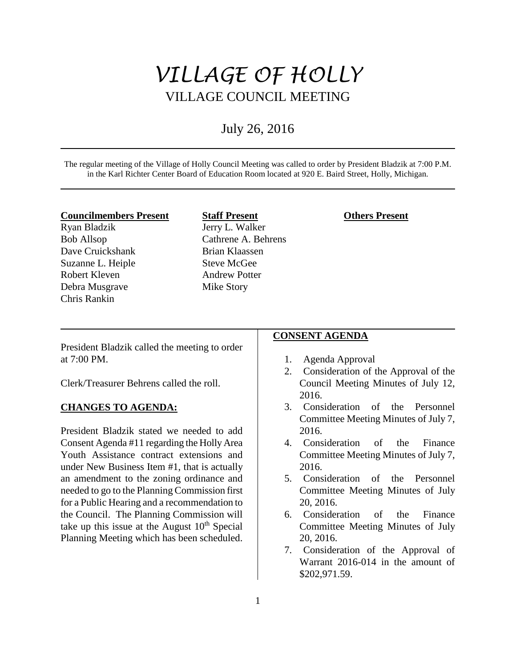# *VILLAGE OF HOLLY* VILLAGE COUNCIL MEETING

# July 26, 2016

The regular meeting of the Village of Holly Council Meeting was called to order by President Bladzik at 7:00 P.M. in the Karl Richter Center Board of Education Room located at 920 E. Baird Street, Holly, Michigan.

#### **Councilmembers Present**

Ryan Bladzik Bob Allsop Dave Cruickshank Suzanne L. Heiple Robert Kleven Debra Musgrave Chris Rankin

# **Staff Present** Jerry L. Walker Cathrene A. Behrens Brian Klaassen Steve McGee Andrew Potter Mike Story

#### **Others Present**

President Bladzik called the meeting to order at 7:00 PM.

Clerk/Treasurer Behrens called the roll.

# **CHANGES TO AGENDA:**

President Bladzik stated we needed to add Consent Agenda #11 regarding the Holly Area Youth Assistance contract extensions and under New Business Item #1, that is actually an amendment to the zoning ordinance and needed to go to the Planning Commission first for a Public Hearing and a recommendation to the Council. The Planning Commission will take up this issue at the August  $10<sup>th</sup>$  Special Planning Meeting which has been scheduled.

#### **CONSENT AGENDA**

- 1. Agenda Approval
- 2. Consideration of the Approval of the Council Meeting Minutes of July 12, 2016.
- 3. Consideration of the Personnel Committee Meeting Minutes of July 7, 2016.
- 4. Consideration of the Finance Committee Meeting Minutes of July 7, 2016.
- 5. Consideration of the Personnel Committee Meeting Minutes of July 20, 2016.
- 6. Consideration of the Finance Committee Meeting Minutes of July 20, 2016.
- 7. Consideration of the Approval of Warrant 2016-014 in the amount of \$202,971.59.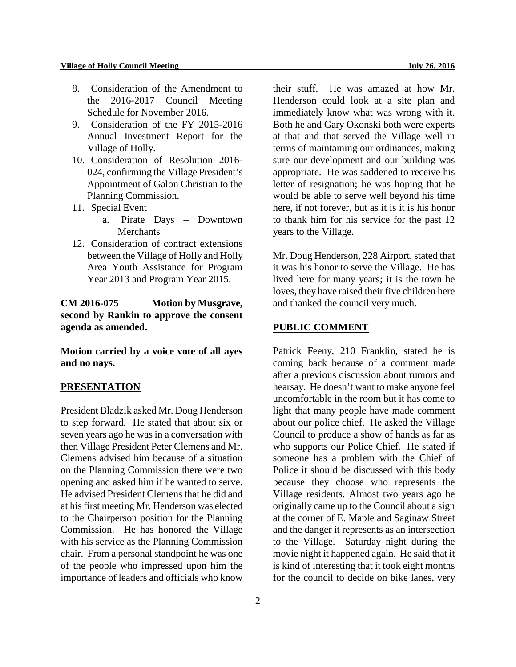- 8. Consideration of the Amendment to the 2016-2017 Council Meeting Schedule for November 2016.
- 9. Consideration of the FY 2015-2016 Annual Investment Report for the Village of Holly.
- 10. Consideration of Resolution 2016- 024, confirming the Village President's Appointment of Galon Christian to the Planning Commission.
- 11. Special Event
	- a. Pirate Days Downtown **Merchants**
- 12. Consideration of contract extensions between the Village of Holly and Holly Area Youth Assistance for Program Year 2013 and Program Year 2015.

**CM 2016-075 Motion by Musgrave, second by Rankin to approve the consent agenda as amended.**

**Motion carried by a voice vote of all ayes and no nays.** 

#### **PRESENTATION**

President Bladzik asked Mr. Doug Henderson to step forward. He stated that about six or seven years ago he was in a conversation with then Village President Peter Clemens and Mr. Clemens advised him because of a situation on the Planning Commission there were two opening and asked him if he wanted to serve. He advised President Clemens that he did and at his first meeting Mr. Henderson was elected to the Chairperson position for the Planning Commission. He has honored the Village with his service as the Planning Commission chair. From a personal standpoint he was one of the people who impressed upon him the importance of leaders and officials who know

2

their stuff. He was amazed at how Mr. Henderson could look at a site plan and immediately know what was wrong with it. Both he and Gary Okonski both were experts at that and that served the Village well in terms of maintaining our ordinances, making sure our development and our building was appropriate. He was saddened to receive his letter of resignation; he was hoping that he would be able to serve well beyond his time here, if not forever, but as it is it is his honor to thank him for his service for the past 12 years to the Village.

Mr. Doug Henderson, 228 Airport, stated that it was his honor to serve the Village. He has lived here for many years; it is the town he loves, they have raised their five children here and thanked the council very much.

#### **PUBLIC COMMENT**

Patrick Feeny, 210 Franklin, stated he is coming back because of a comment made after a previous discussion about rumors and hearsay. He doesn't want to make anyone feel uncomfortable in the room but it has come to light that many people have made comment about our police chief. He asked the Village Council to produce a show of hands as far as who supports our Police Chief. He stated if someone has a problem with the Chief of Police it should be discussed with this body because they choose who represents the Village residents. Almost two years ago he originally came up to the Council about a sign at the corner of E. Maple and Saginaw Street and the danger it represents as an intersection to the Village. Saturday night during the movie night it happened again. He said that it is kind of interesting that it took eight months for the council to decide on bike lanes, very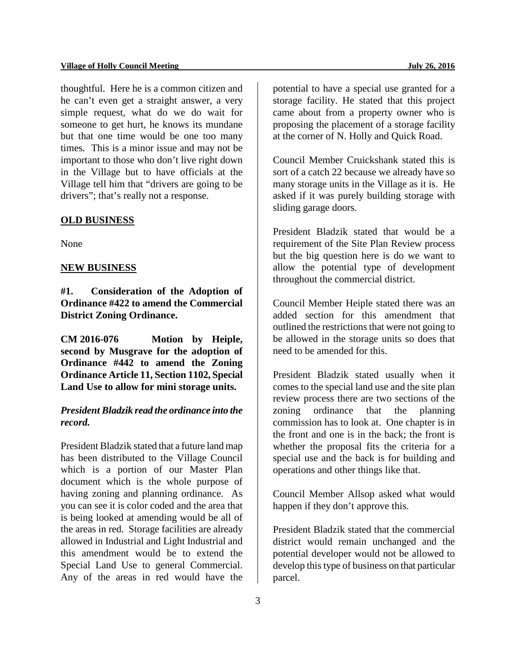thoughtful. Here he is a common citizen and he can't even get a straight answer, a very simple request, what do we do wait for someone to get hurt, he knows its mundane but that one time would be one too many times. This is a minor issue and may not be important to those who don't live right down in the Village but to have officials at the Village tell him that "drivers are going to be drivers"; that's really not a response.

#### **OLD BUSINESS**

None

#### **NEW BUSINESS**

**#1. Consideration of the Adoption of Ordinance #422 to amend the Commercial District Zoning Ordinance.** 

**CM 2016-076 Motion by Heiple, second by Musgrave for the adoption of Ordinance #442 to amend the Zoning Ordinance Article 11, Section 1102, Special Land Use to allow for mini storage units.** 

# *President Bladzik read the ordinance into the record.*

President Bladzik stated that a future land map has been distributed to the Village Council which is a portion of our Master Plan document which is the whole purpose of having zoning and planning ordinance. As you can see it is color coded and the area that is being looked at amending would be all of the areas in red. Storage facilities are already allowed in Industrial and Light Industrial and this amendment would be to extend the Special Land Use to general Commercial. Any of the areas in red would have the

potential to have a special use granted for a storage facility. He stated that this project came about from a property owner who is proposing the placement of a storage facility at the corner of N. Holly and Quick Road.

Council Member Cruickshank stated this is sort of a catch 22 because we already have so many storage units in the Village as it is. He asked if it was purely building storage with sliding garage doors.

President Bladzik stated that would be a requirement of the Site Plan Review process but the big question here is do we want to allow the potential type of development throughout the commercial district.

Council Member Heiple stated there was an added section for this amendment that outlined the restrictions that were not going to be allowed in the storage units so does that need to be amended for this.

President Bladzik stated usually when it comes to the special land use and the site plan review process there are two sections of the zoning ordinance that the planning commission has to look at. One chapter is in the front and one is in the back; the front is whether the proposal fits the criteria for a special use and the back is for building and operations and other things like that.

Council Member Allsop asked what would happen if they don't approve this.

President Bladzik stated that the commercial district would remain unchanged and the potential developer would not be allowed to develop this type of business on that particular parcel.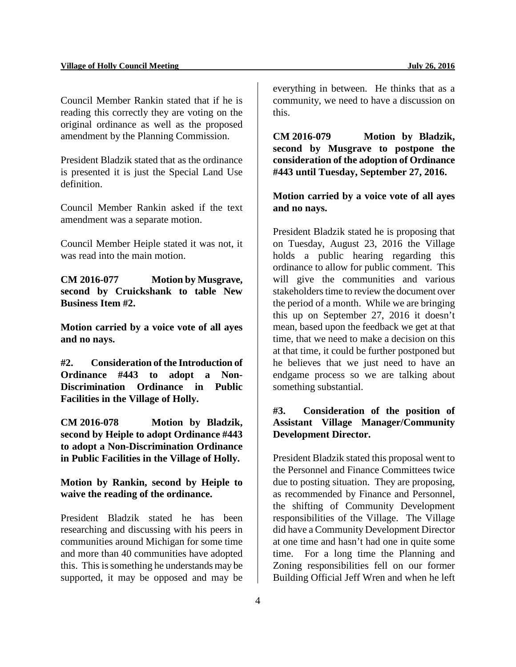Council Member Rankin stated that if he is reading this correctly they are voting on the original ordinance as well as the proposed amendment by the Planning Commission.

President Bladzik stated that as the ordinance is presented it is just the Special Land Use definition.

Council Member Rankin asked if the text amendment was a separate motion.

Council Member Heiple stated it was not, it was read into the main motion.

**CM 2016-077 Motion by Musgrave, second by Cruickshank to table New Business Item #2.**

**Motion carried by a voice vote of all ayes and no nays.** 

**#2. Consideration of the Introduction of Ordinance #443 to adopt a Non-Discrimination Ordinance in Public Facilities in the Village of Holly.**

**CM 2016-078 Motion by Bladzik, second by Heiple to adopt Ordinance #443 to adopt a Non-Discrimination Ordinance in Public Facilities in the Village of Holly.** 

**Motion by Rankin, second by Heiple to waive the reading of the ordinance.**

President Bladzik stated he has been researching and discussing with his peers in communities around Michigan for some time and more than 40 communities have adopted this. This is something he understands may be supported, it may be opposed and may be

everything in between. He thinks that as a community, we need to have a discussion on this.

**CM 2016-079 Motion by Bladzik, second by Musgrave to postpone the consideration of the adoption of Ordinance #443 until Tuesday, September 27, 2016.** 

**Motion carried by a voice vote of all ayes and no nays.**

President Bladzik stated he is proposing that on Tuesday, August 23, 2016 the Village holds a public hearing regarding this ordinance to allow for public comment. This will give the communities and various stakeholders time to review the document over the period of a month. While we are bringing this up on September 27, 2016 it doesn't mean, based upon the feedback we get at that time, that we need to make a decision on this at that time, it could be further postponed but he believes that we just need to have an endgame process so we are talking about something substantial.

# **#3. Consideration of the position of Assistant Village Manager/Community Development Director.**

President Bladzik stated this proposal went to the Personnel and Finance Committees twice due to posting situation. They are proposing, as recommended by Finance and Personnel, the shifting of Community Development responsibilities of the Village. The Village did have a Community Development Director at one time and hasn't had one in quite some time. For a long time the Planning and Zoning responsibilities fell on our former Building Official Jeff Wren and when he left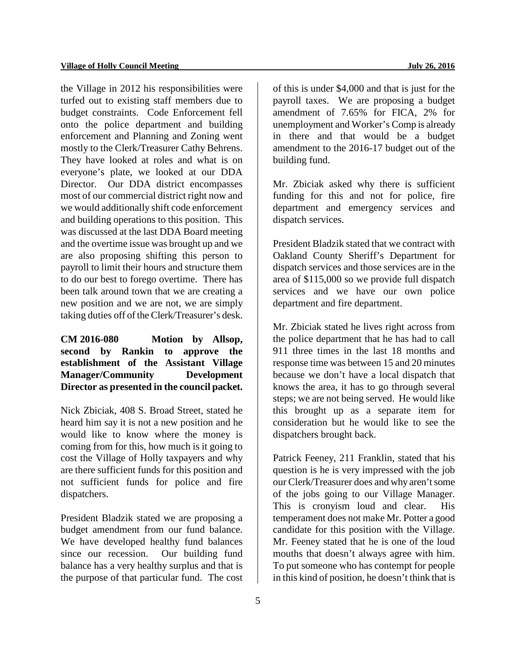the Village in 2012 his responsibilities were turfed out to existing staff members due to budget constraints. Code Enforcement fell onto the police department and building enforcement and Planning and Zoning went mostly to the Clerk/Treasurer Cathy Behrens. They have looked at roles and what is on everyone's plate, we looked at our DDA Director. Our DDA district encompasses most of our commercial district right now and we would additionally shift code enforcement and building operations to this position. This was discussed at the last DDA Board meeting and the overtime issue was brought up and we are also proposing shifting this person to payroll to limit their hours and structure them to do our best to forego overtime. There has been talk around town that we are creating a new position and we are not, we are simply taking duties off of the Clerk/Treasurer's desk.

# **CM 2016-080 Motion by Allsop, second by Rankin to approve the establishment of the Assistant Village Manager/Community Development Director as presented in the council packet.**

Nick Zbiciak, 408 S. Broad Street, stated he heard him say it is not a new position and he would like to know where the money is coming from for this, how much is it going to cost the Village of Holly taxpayers and why are there sufficient funds for this position and not sufficient funds for police and fire dispatchers.

President Bladzik stated we are proposing a budget amendment from our fund balance. We have developed healthy fund balances since our recession. Our building fund balance has a very healthy surplus and that is the purpose of that particular fund. The cost of this is under \$4,000 and that is just for the payroll taxes. We are proposing a budget amendment of 7.65% for FICA, 2% for unemployment and Worker's Comp is already in there and that would be a budget amendment to the 2016-17 budget out of the building fund.

Mr. Zbiciak asked why there is sufficient funding for this and not for police, fire department and emergency services and dispatch services.

President Bladzik stated that we contract with Oakland County Sheriff's Department for dispatch services and those services are in the area of \$115,000 so we provide full dispatch services and we have our own police department and fire department.

Mr. Zbiciak stated he lives right across from the police department that he has had to call 911 three times in the last 18 months and response time was between 15 and 20 minutes because we don't have a local dispatch that knows the area, it has to go through several steps; we are not being served. He would like this brought up as a separate item for consideration but he would like to see the dispatchers brought back.

Patrick Feeney, 211 Franklin, stated that his question is he is very impressed with the job our Clerk/Treasurer does and why aren't some of the jobs going to our Village Manager. This is cronyism loud and clear. His temperament does not make Mr. Potter a good candidate for this position with the Village. Mr. Feeney stated that he is one of the loud mouths that doesn't always agree with him. To put someone who has contempt for people in this kind of position, he doesn't think that is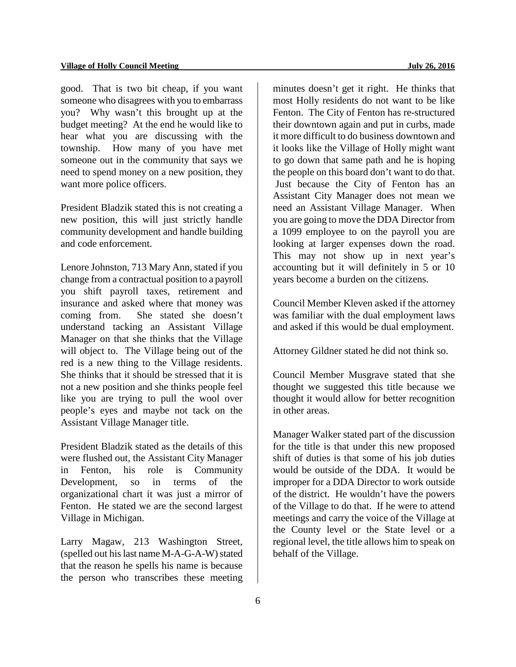good. That is two bit cheap, if you want someone who disagrees with you to embarrass you? Why wasn't this brought up at the budget meeting? At the end he would like to hear what you are discussing with the township. How many of you have met someone out in the community that says we need to spend money on a new position, they want more police officers.

President Bladzik stated this is not creating a new position, this will just strictly handle community development and handle building and code enforcement.

Lenore Johnston, 713 Mary Ann, stated if you change from a contractual position to a payroll you shift payroll taxes, retirement and insurance and asked where that money was coming from. She stated she doesn't understand tacking an Assistant Village Manager on that she thinks that the Village will object to. The Village being out of the red is a new thing to the Village residents. She thinks that it should be stressed that it is not a new position and she thinks people feel like you are trying to pull the wool over people's eyes and maybe not tack on the Assistant Village Manager title.

President Bladzik stated as the details of this were flushed out, the Assistant City Manager in Fenton, his role is Community Development, so in terms of the organizational chart it was just a mirror of Fenton. He stated we are the second largest Village in Michigan.

Larry Magaw, 213 Washington Street, (spelled out his last name M-A-G-A-W) stated that the reason he spells his name is because the person who transcribes these meeting

minutes doesn't get it right. He thinks that most Holly residents do not want to be like Fenton. The City of Fenton has re-structured their downtown again and put in curbs, made it more difficult to do business downtown and it looks like the Village of Holly might want to go down that same path and he is hoping the people on this board don't want to do that. Just because the City of Fenton has an Assistant City Manager does not mean we need an Assistant Village Manager. When you are going to move the DDA Director from a 1099 employee to on the payroll you are looking at larger expenses down the road. This may not show up in next year's accounting but it will definitely in 5 or 10 years become a burden on the citizens.

Council Member Kleven asked if the attorney was familiar with the dual employment laws and asked if this would be dual employment.

Attorney Gildner stated he did not think so.

Council Member Musgrave stated that she thought we suggested this title because we thought it would allow for better recognition in other areas.

Manager Walker stated part of the discussion for the title is that under this new proposed shift of duties is that some of his job duties would be outside of the DDA. It would be improper for a DDA Director to work outside of the district. He wouldn't have the powers of the Village to do that. If he were to attend meetings and carry the voice of the Village at the County level or the State level or a regional level, the title allows him to speak on behalf of the Village.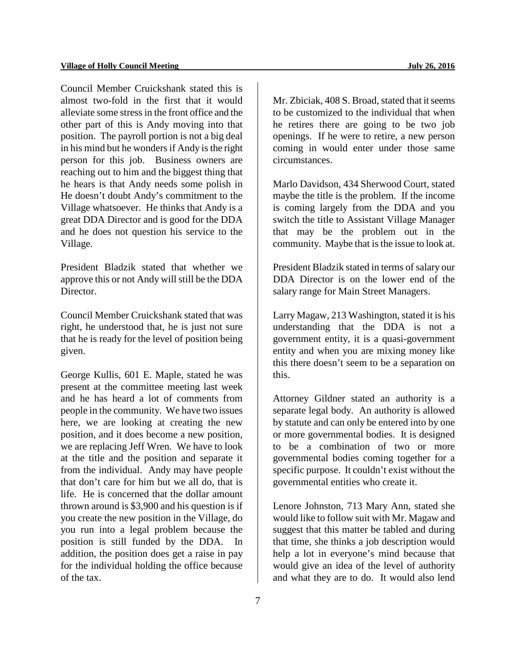Council Member Cruickshank stated this is almost two-fold in the first that it would alleviate some stress in the front office and the other part of this is Andy moving into that position. The payroll portion is not a big deal in his mind but he wonders if Andy is the right person for this job. Business owners are reaching out to him and the biggest thing that he hears is that Andy needs some polish in He doesn't doubt Andy's commitment to the Village whatsoever. He thinks that Andy is a great DDA Director and is good for the DDA and he does not question his service to the Village.

President Bladzik stated that whether we approve this or not Andy will still be the DDA Director.

Council Member Cruickshank stated that was right, he understood that, he is just not sure that he is ready for the level of position being given.

George Kullis, 601 E. Maple, stated he was present at the committee meeting last week and he has heard a lot of comments from people in the community. We have two issues here, we are looking at creating the new position, and it does become a new position, we are replacing Jeff Wren. We have to look at the title and the position and separate it from the individual. Andy may have people that don't care for him but we all do, that is life. He is concerned that the dollar amount thrown around is \$3,900 and his question is if you create the new position in the Village, do you run into a legal problem because the position is still funded by the DDA. In addition, the position does get a raise in pay for the individual holding the office because of the tax.

Mr. Zbiciak, 408 S. Broad, stated that it seems to be customized to the individual that when he retires there are going to be two job openings. If he were to retire, a new person coming in would enter under those same circumstances.

Marlo Davidson, 434 Sherwood Court, stated maybe the title is the problem. If the income is coming largely from the DDA and you switch the title to Assistant Village Manager that may be the problem out in the community. Maybe that is the issue to look at.

President Bladzik stated in terms of salary our DDA Director is on the lower end of the salary range for Main Street Managers.

Larry Magaw, 213 Washington, stated it is his understanding that the DDA is not a government entity, it is a quasi-government entity and when you are mixing money like this there doesn't seem to be a separation on this.

Attorney Gildner stated an authority is a separate legal body. An authority is allowed by statute and can only be entered into by one or more governmental bodies. It is designed to be a combination of two or more governmental bodies coming together for a specific purpose. It couldn't exist without the governmental entities who create it.

Lenore Johnston, 713 Mary Ann, stated she would like to follow suit with Mr. Magaw and suggest that this matter be tabled and during that time, she thinks a job description would help a lot in everyone's mind because that would give an idea of the level of authority and what they are to do. It would also lend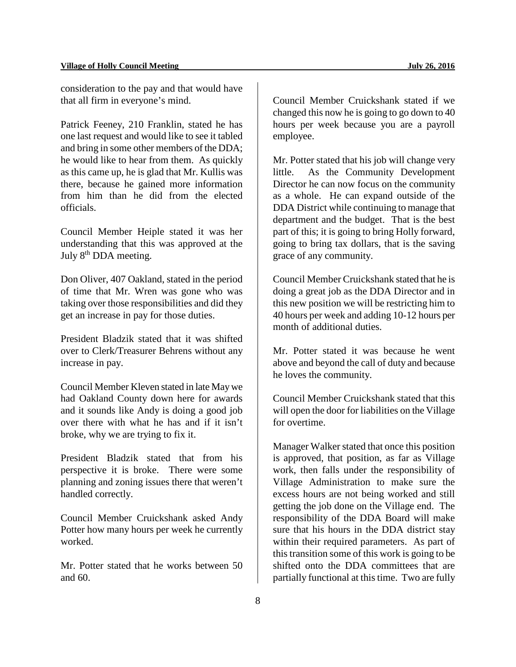consideration to the pay and that would have that all firm in everyone's mind.

Patrick Feeney, 210 Franklin, stated he has one last request and would like to see it tabled and bring in some other members of the DDA; he would like to hear from them. As quickly as this came up, he is glad that Mr. Kullis was there, because he gained more information from him than he did from the elected officials.

Council Member Heiple stated it was her understanding that this was approved at the July 8<sup>th</sup> DDA meeting.

Don Oliver, 407 Oakland, stated in the period of time that Mr. Wren was gone who was taking over those responsibilities and did they get an increase in pay for those duties.

President Bladzik stated that it was shifted over to Clerk/Treasurer Behrens without any increase in pay.

Council Member Kleven stated in late May we had Oakland County down here for awards and it sounds like Andy is doing a good job over there with what he has and if it isn't broke, why we are trying to fix it.

President Bladzik stated that from his perspective it is broke. There were some planning and zoning issues there that weren't handled correctly.

Council Member Cruickshank asked Andy Potter how many hours per week he currently worked.

Mr. Potter stated that he works between 50 and 60.

Council Member Cruickshank stated if we changed this now he is going to go down to 40 hours per week because you are a payroll employee.

Mr. Potter stated that his job will change very little. As the Community Development Director he can now focus on the community as a whole. He can expand outside of the DDA District while continuing to manage that department and the budget. That is the best part of this; it is going to bring Holly forward, going to bring tax dollars, that is the saving grace of any community.

Council Member Cruickshank stated that he is doing a great job as the DDA Director and in this new position we will be restricting him to 40 hours per week and adding 10-12 hours per month of additional duties.

Mr. Potter stated it was because he went above and beyond the call of duty and because he loves the community.

Council Member Cruickshank stated that this will open the door for liabilities on the Village for overtime.

Manager Walker stated that once this position is approved, that position, as far as Village work, then falls under the responsibility of Village Administration to make sure the excess hours are not being worked and still getting the job done on the Village end. The responsibility of the DDA Board will make sure that his hours in the DDA district stay within their required parameters. As part of this transition some of this work is going to be shifted onto the DDA committees that are partially functional at this time. Two are fully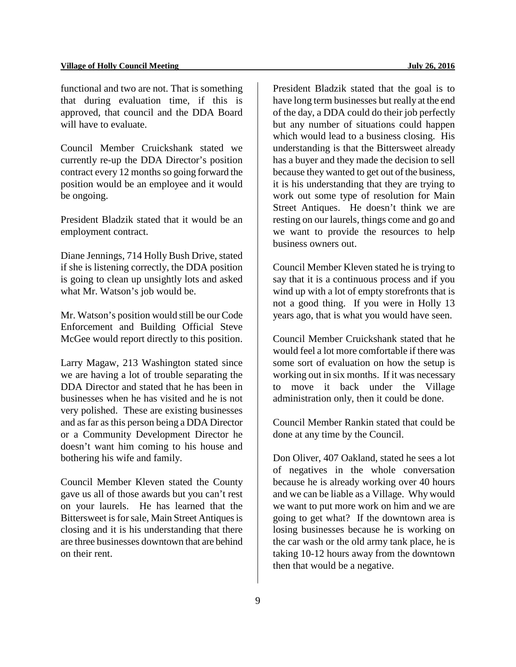functional and two are not. That is something that during evaluation time, if this is approved, that council and the DDA Board will have to evaluate.

Council Member Cruickshank stated we currently re-up the DDA Director's position contract every 12 months so going forward the position would be an employee and it would be ongoing.

President Bladzik stated that it would be an employment contract.

Diane Jennings, 714 Holly Bush Drive, stated if she is listening correctly, the DDA position is going to clean up unsightly lots and asked what Mr. Watson's job would be.

Mr. Watson's position would still be our Code Enforcement and Building Official Steve McGee would report directly to this position.

Larry Magaw, 213 Washington stated since we are having a lot of trouble separating the DDA Director and stated that he has been in businesses when he has visited and he is not very polished. These are existing businesses and as far as this person being a DDA Director or a Community Development Director he doesn't want him coming to his house and bothering his wife and family.

Council Member Kleven stated the County gave us all of those awards but you can't rest on your laurels. He has learned that the Bittersweet is for sale, Main Street Antiques is closing and it is his understanding that there are three businesses downtown that are behind on their rent.

President Bladzik stated that the goal is to have long term businesses but really at the end of the day, a DDA could do their job perfectly but any number of situations could happen which would lead to a business closing. His understanding is that the Bittersweet already has a buyer and they made the decision to sell because they wanted to get out of the business, it is his understanding that they are trying to work out some type of resolution for Main Street Antiques. He doesn't think we are resting on our laurels, things come and go and we want to provide the resources to help business owners out.

Council Member Kleven stated he is trying to say that it is a continuous process and if you wind up with a lot of empty storefronts that is not a good thing. If you were in Holly 13 years ago, that is what you would have seen.

Council Member Cruickshank stated that he would feel a lot more comfortable if there was some sort of evaluation on how the setup is working out in six months. If it was necessary to move it back under the Village administration only, then it could be done.

Council Member Rankin stated that could be done at any time by the Council.

Don Oliver, 407 Oakland, stated he sees a lot of negatives in the whole conversation because he is already working over 40 hours and we can be liable as a Village. Why would we want to put more work on him and we are going to get what? If the downtown area is losing businesses because he is working on the car wash or the old army tank place, he is taking 10-12 hours away from the downtown then that would be a negative.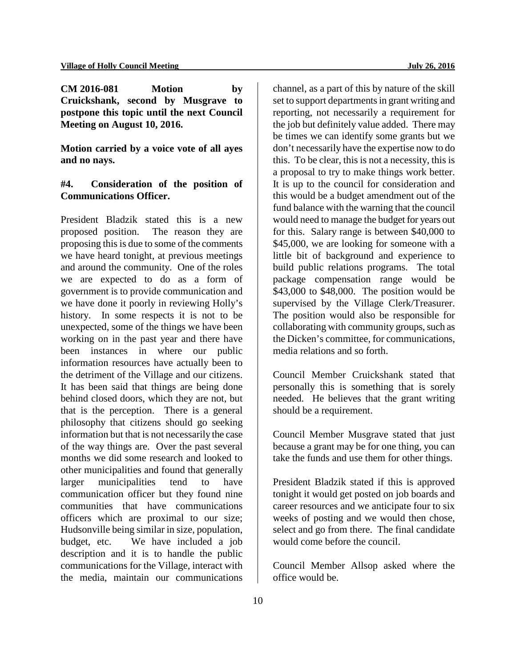**CM 2016-081 Motion by Cruickshank, second by Musgrave to postpone this topic until the next Council Meeting on August 10, 2016.**

**Motion carried by a voice vote of all ayes and no nays.** 

# **#4. Consideration of the position of Communications Officer.**

President Bladzik stated this is a new proposed position. The reason they are proposing this is due to some of the comments we have heard tonight, at previous meetings and around the community. One of the roles we are expected to do as a form of government is to provide communication and we have done it poorly in reviewing Holly's history. In some respects it is not to be unexpected, some of the things we have been working on in the past year and there have been instances in where our public information resources have actually been to the detriment of the Village and our citizens. It has been said that things are being done behind closed doors, which they are not, but that is the perception. There is a general philosophy that citizens should go seeking information but that is not necessarily the case of the way things are. Over the past several months we did some research and looked to other municipalities and found that generally larger municipalities tend to have communication officer but they found nine communities that have communications officers which are proximal to our size; Hudsonville being similar in size, population, budget, etc. We have included a job description and it is to handle the public communications for the Village, interact with the media, maintain our communications

channel, as a part of this by nature of the skill set to support departments in grant writing and reporting, not necessarily a requirement for the job but definitely value added. There may be times we can identify some grants but we don't necessarily have the expertise now to do this. To be clear, this is not a necessity, this is a proposal to try to make things work better. It is up to the council for consideration and this would be a budget amendment out of the fund balance with the warning that the council would need to manage the budget for years out for this. Salary range is between \$40,000 to \$45,000, we are looking for someone with a little bit of background and experience to build public relations programs. The total package compensation range would be \$43,000 to \$48,000. The position would be supervised by the Village Clerk/Treasurer. The position would also be responsible for collaborating with community groups, such as the Dicken's committee, for communications, media relations and so forth.

Council Member Cruickshank stated that personally this is something that is sorely needed. He believes that the grant writing should be a requirement.

Council Member Musgrave stated that just because a grant may be for one thing, you can take the funds and use them for other things.

President Bladzik stated if this is approved tonight it would get posted on job boards and career resources and we anticipate four to six weeks of posting and we would then chose, select and go from there. The final candidate would come before the council.

Council Member Allsop asked where the office would be.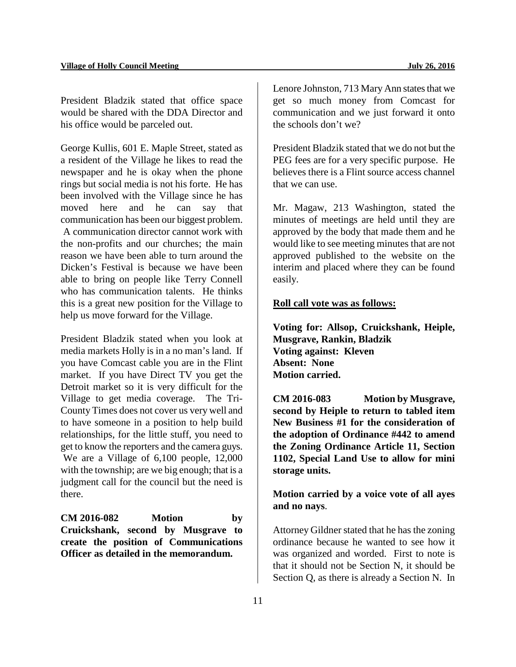President Bladzik stated that office space would be shared with the DDA Director and his office would be parceled out.

George Kullis, 601 E. Maple Street, stated as a resident of the Village he likes to read the newspaper and he is okay when the phone rings but social media is not his forte. He has been involved with the Village since he has moved here and he can say that communication has been our biggest problem. A communication director cannot work with the non-profits and our churches; the main reason we have been able to turn around the Dicken's Festival is because we have been able to bring on people like Terry Connell who has communication talents. He thinks this is a great new position for the Village to help us move forward for the Village.

President Bladzik stated when you look at media markets Holly is in a no man's land. If you have Comcast cable you are in the Flint market. If you have Direct TV you get the Detroit market so it is very difficult for the Village to get media coverage. The Tri-County Times does not cover us very well and to have someone in a position to help build relationships, for the little stuff, you need to get to know the reporters and the camera guys. We are a Village of 6,100 people, 12,000 with the township; are we big enough; that is a judgment call for the council but the need is there.

**CM 2016-082 Motion by Cruickshank, second by Musgrave to create the position of Communications Officer as detailed in the memorandum.**

Lenore Johnston, 713 Mary Ann states that we get so much money from Comcast for communication and we just forward it onto the schools don't we?

President Bladzik stated that we do not but the PEG fees are for a very specific purpose. He believes there is a Flint source access channel that we can use.

Mr. Magaw, 213 Washington, stated the minutes of meetings are held until they are approved by the body that made them and he would like to see meeting minutes that are not approved published to the website on the interim and placed where they can be found easily.

#### **Roll call vote was as follows:**

**Voting for: Allsop, Cruickshank, Heiple, Musgrave, Rankin, Bladzik Voting against: Kleven Absent: None Motion carried.** 

**CM 2016-083 Motion by Musgrave, second by Heiple to return to tabled item New Business #1 for the consideration of the adoption of Ordinance #442 to amend the Zoning Ordinance Article 11, Section 1102, Special Land Use to allow for mini storage units.** 

**Motion carried by a voice vote of all ayes and no nays**.

Attorney Gildner stated that he has the zoning ordinance because he wanted to see how it was organized and worded. First to note is that it should not be Section N, it should be Section Q, as there is already a Section N. In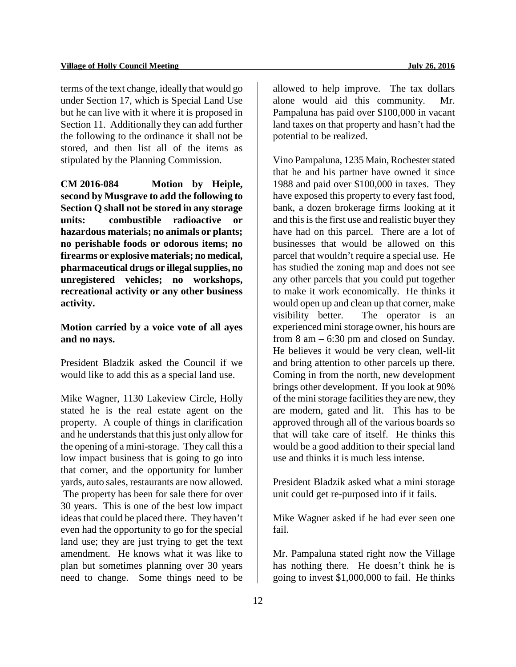terms of the text change, ideally that would go under Section 17, which is Special Land Use but he can live with it where it is proposed in Section 11. Additionally they can add further the following to the ordinance it shall not be stored, and then list all of the items as stipulated by the Planning Commission.

**CM 2016-084 Motion by Heiple, second by Musgrave to add the following to Section Q shall not be stored in any storage units: combustible radioactive or hazardous materials; no animals or plants; no perishable foods or odorous items; no firearms or explosive materials; no medical, pharmaceutical drugs or illegal supplies, no unregistered vehicles; no workshops, recreational activity or any other business activity.** 

# **Motion carried by a voice vote of all ayes and no nays.**

President Bladzik asked the Council if we would like to add this as a special land use.

Mike Wagner, 1130 Lakeview Circle, Holly stated he is the real estate agent on the property. A couple of things in clarification and he understands that this just only allow for the opening of a mini-storage. They call this a low impact business that is going to go into that corner, and the opportunity for lumber yards, auto sales, restaurants are now allowed.

The property has been for sale there for over 30 years. This is one of the best low impact ideas that could be placed there. They haven't even had the opportunity to go for the special land use; they are just trying to get the text amendment. He knows what it was like to plan but sometimes planning over 30 years need to change. Some things need to be

allowed to help improve. The tax dollars alone would aid this community. Pampaluna has paid over \$100,000 in vacant land taxes on that property and hasn't had the potential to be realized.

Vino Pampaluna, 1235 Main, Rochester stated that he and his partner have owned it since 1988 and paid over \$100,000 in taxes. They have exposed this property to every fast food, bank, a dozen brokerage firms looking at it and this is the first use and realistic buyer they have had on this parcel. There are a lot of businesses that would be allowed on this parcel that wouldn't require a special use. He has studied the zoning map and does not see any other parcels that you could put together to make it work economically. He thinks it would open up and clean up that corner, make visibility better. The operator is an experienced mini storage owner, his hours are from 8 am – 6:30 pm and closed on Sunday. He believes it would be very clean, well-lit and bring attention to other parcels up there. Coming in from the north, new development brings other development. If you look at 90% of the ministorage facilities they are new, they are modern, gated and lit. This has to be approved through all of the various boards so that will take care of itself. He thinks this would be a good addition to their special land use and thinks it is much less intense.

President Bladzik asked what a mini storage unit could get re-purposed into if it fails.

Mike Wagner asked if he had ever seen one fail.

Mr. Pampaluna stated right now the Village has nothing there. He doesn't think he is going to invest \$1,000,000 to fail. He thinks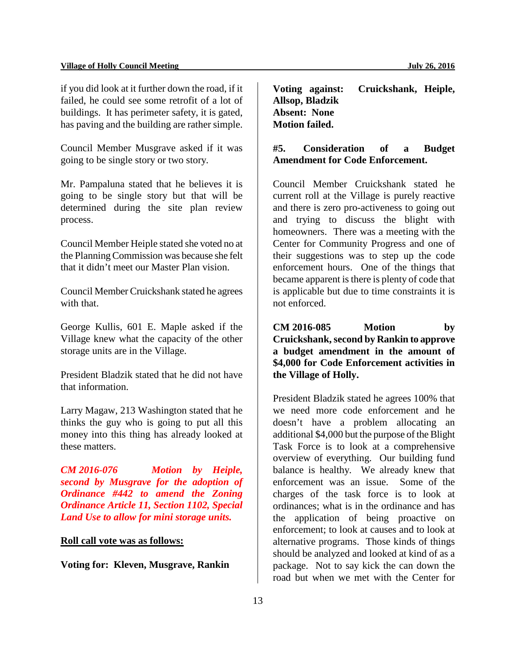if you did look at it further down the road, if it failed, he could see some retrofit of a lot of buildings. It has perimeter safety, it is gated, has paving and the building are rather simple.

Council Member Musgrave asked if it was going to be single story or two story.

Mr. Pampaluna stated that he believes it is going to be single story but that will be determined during the site plan review process.

Council Member Heiple stated she voted no at the Planning Commission was because she felt that it didn't meet our Master Plan vision.

Council Member Cruickshank stated he agrees with that.

George Kullis, 601 E. Maple asked if the Village knew what the capacity of the other storage units are in the Village.

President Bladzik stated that he did not have that information.

Larry Magaw, 213 Washington stated that he thinks the guy who is going to put all this money into this thing has already looked at these matters.

*CM 2016-076 Motion by Heiple, second by Musgrave for the adoption of Ordinance #442 to amend the Zoning Ordinance Article 11, Section 1102, Special Land Use to allow for mini storage units.* 

#### **Roll call vote was as follows:**

**Voting for: Kleven, Musgrave, Rankin**

**Voting against: Cruickshank, Heiple, Allsop, Bladzik Absent: None Motion failed.**

**#5. Consideration of a Budget Amendment for Code Enforcement.**

Council Member Cruickshank stated he current roll at the Village is purely reactive and there is zero pro-activeness to going out and trying to discuss the blight with homeowners. There was a meeting with the Center for Community Progress and one of their suggestions was to step up the code enforcement hours. One of the things that became apparent is there is plenty of code that is applicable but due to time constraints it is not enforced.

**CM 2016-085 Motion by Cruickshank, second by Rankin to approve a budget amendment in the amount of \$4,000 for Code Enforcement activities in the Village of Holly.**

President Bladzik stated he agrees 100% that we need more code enforcement and he doesn't have a problem allocating an additional \$4,000 but the purpose of the Blight Task Force is to look at a comprehensive overview of everything. Our building fund balance is healthy. We already knew that enforcement was an issue. Some of the charges of the task force is to look at ordinances; what is in the ordinance and has the application of being proactive on enforcement; to look at causes and to look at alternative programs. Those kinds of things should be analyzed and looked at kind of as a package. Not to say kick the can down the road but when we met with the Center for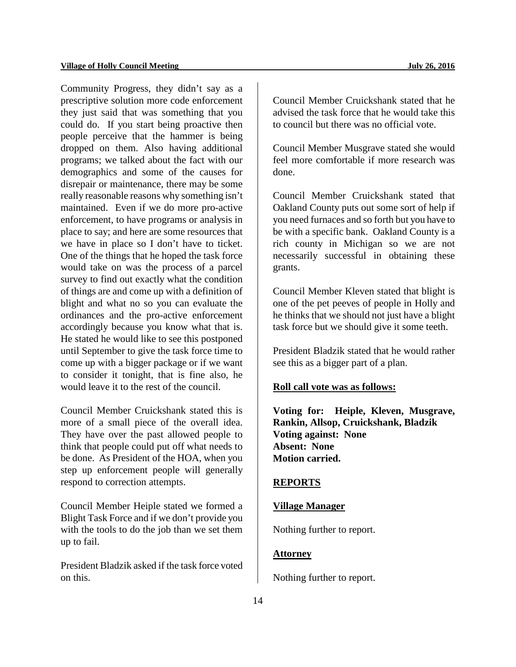Community Progress, they didn't say as a prescriptive solution more code enforcement they just said that was something that you could do. If you start being proactive then people perceive that the hammer is being dropped on them. Also having additional programs; we talked about the fact with our demographics and some of the causes for disrepair or maintenance, there may be some really reasonable reasons why something isn't maintained. Even if we do more pro-active enforcement, to have programs or analysis in place to say; and here are some resources that we have in place so I don't have to ticket. One of the things that he hoped the task force would take on was the process of a parcel survey to find out exactly what the condition of things are and come up with a definition of blight and what no so you can evaluate the ordinances and the pro-active enforcement accordingly because you know what that is. He stated he would like to see this postponed until September to give the task force time to come up with a bigger package or if we want to consider it tonight, that is fine also, he would leave it to the rest of the council.

Council Member Cruickshank stated this is more of a small piece of the overall idea. They have over the past allowed people to think that people could put off what needs to be done. As President of the HOA, when you step up enforcement people will generally respond to correction attempts.

Council Member Heiple stated we formed a Blight Task Force and if we don't provide you with the tools to do the job than we set them up to fail.

President Bladzik asked if the task force voted on this.

Council Member Cruickshank stated that he advised the task force that he would take this to council but there was no official vote.

Council Member Musgrave stated she would feel more comfortable if more research was done.

Council Member Cruickshank stated that Oakland County puts out some sort of help if you need furnaces and so forth but you have to be with a specific bank. Oakland County is a rich county in Michigan so we are not necessarily successful in obtaining these grants.

Council Member Kleven stated that blight is one of the pet peeves of people in Holly and he thinks that we should not just have a blight task force but we should give it some teeth.

President Bladzik stated that he would rather see this as a bigger part of a plan.

#### **Roll call vote was as follows:**

**Voting for: Heiple, Kleven, Musgrave, Rankin, Allsop, Cruickshank, Bladzik Voting against: None Absent: None Motion carried.**

#### **REPORTS**

# **Village Manager**

Nothing further to report.

# **Attorney**

Nothing further to report.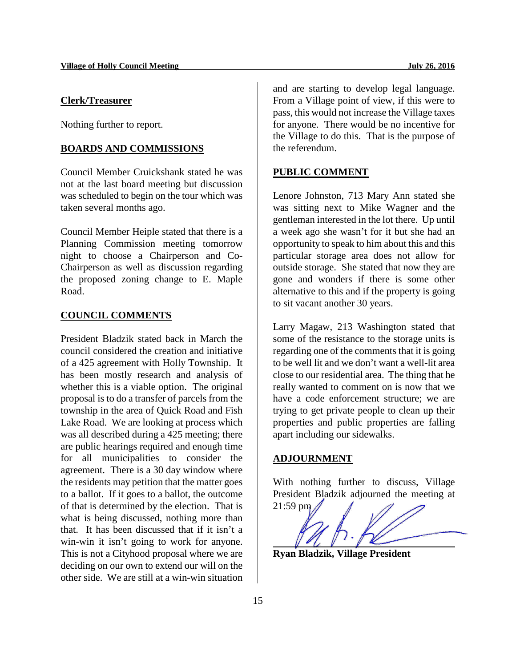#### **Clerk/Treasurer**

Nothing further to report.

#### **BOARDS AND COMMISSIONS**

Council Member Cruickshank stated he was not at the last board meeting but discussion was scheduled to begin on the tour which was taken several months ago.

Council Member Heiple stated that there is a Planning Commission meeting tomorrow night to choose a Chairperson and Co-Chairperson as well as discussion regarding the proposed zoning change to E. Maple Road.

#### **COUNCIL COMMENTS**

President Bladzik stated back in March the council considered the creation and initiative of a 425 agreement with Holly Township. It has been mostly research and analysis of whether this is a viable option. The original proposal is to do a transfer of parcels from the township in the area of Quick Road and Fish Lake Road. We are looking at process which was all described during a 425 meeting; there are public hearings required and enough time for all municipalities to consider the agreement. There is a 30 day window where the residents may petition that the matter goes to a ballot. If it goes to a ballot, the outcome of that is determined by the election. That is what is being discussed, nothing more than that. It has been discussed that if it isn't a win-win it isn't going to work for anyone. This is not a Cityhood proposal where we are deciding on our own to extend our will on the other side. We are still at a win-win situation

and are starting to develop legal language. From a Village point of view, if this were to pass, this would not increase the Village taxes for anyone. There would be no incentive for the Village to do this. That is the purpose of the referendum.

#### **PUBLIC COMMENT**

Lenore Johnston, 713 Mary Ann stated she was sitting next to Mike Wagner and the gentleman interested in the lot there. Up until a week ago she wasn't for it but she had an opportunity to speak to him about this and this particular storage area does not allow for outside storage. She stated that now they are gone and wonders if there is some other alternative to this and if the property is going to sit vacant another 30 years.

Larry Magaw, 213 Washington stated that some of the resistance to the storage units is regarding one of the comments that it is going to be well lit and we don't want a well-lit area close to our residential area. The thing that he really wanted to comment on is now that we have a code enforcement structure; we are trying to get private people to clean up their properties and public properties are falling apart including our sidewalks.

#### **ADJOURNMENT**

With nothing further to discuss, Village President Bladzik adjourned the meeting at



**Ryan Bladzik, Village President**